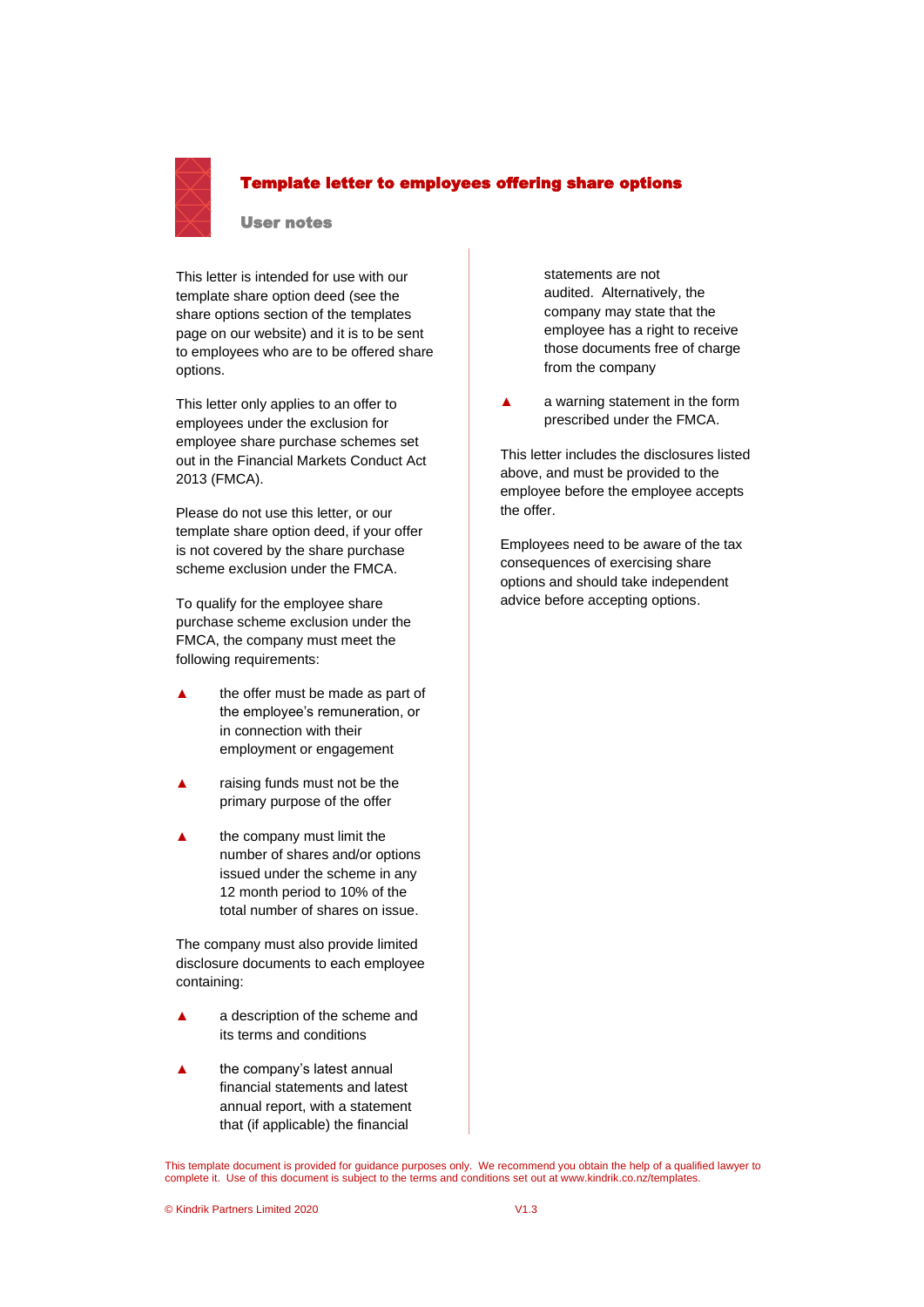

# Template letter to employees offering share options

#### User notes

This letter is intended for use with our template share option deed (see the share options section of the templates page on our website) and it is to be sent to employees who are to be offered share options.

This letter only applies to an offer to employees under the exclusion for employee share purchase schemes set out in the Financial Markets Conduct Act 2013 (FMCA).

Please do not use this letter, or our template share option deed, if your offer is not covered by the share purchase scheme exclusion under the FMCA.

To qualify for the employee share purchase scheme exclusion under the FMCA, the company must meet the following requirements:

- **▲** the offer must be made as part of the employee's remuneration, or in connection with their employment or engagement
- raising funds must not be the primary purpose of the offer
- the company must limit the number of shares and/or options issued under the scheme in any 12 month period to 10% of the total number of shares on issue.

The company must also provide limited disclosure documents to each employee containing:

- a description of the scheme and its terms and conditions
- the company's latest annual financial statements and latest annual report, with a statement that (if applicable) the financial

statements are not audited. Alternatively, the company may state that the employee has a right to receive those documents free of charge from the company

**▲** a warning statement in the form prescribed under the FMCA.

This letter includes the disclosures listed above, and must be provided to the employee before the employee accepts the offer.

Employees need to be aware of the tax consequences of exercising share options and should take independent advice before accepting options.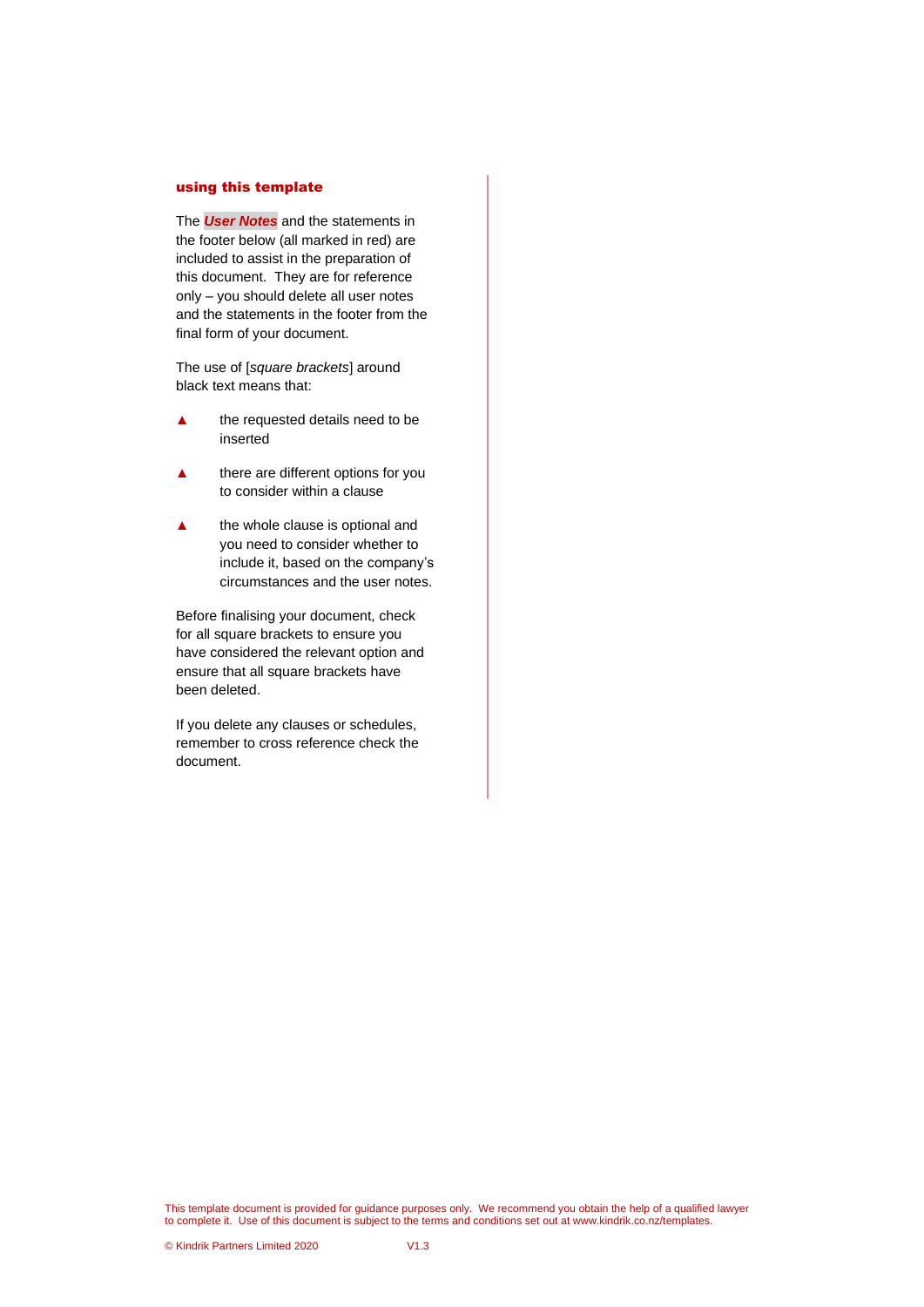#### using this template

The *User Notes* and the statements in the footer below (all marked in red) are included to assist in the preparation of this document. They are for reference only – you should delete all user notes and the statements in the footer from the final form of your document.

The use of [*square brackets*] around black text means that:

- **▲** the requested details need to be inserted
- **▲** there are different options for you to consider within a clause
- the whole clause is optional and you need to consider whether to include it, based on the company's circumstances and the user notes.

Before finalising your document, check for all square brackets to ensure you have considered the relevant option and ensure that all square brackets have been deleted.

If you delete any clauses or schedules, remember to cross reference check the document.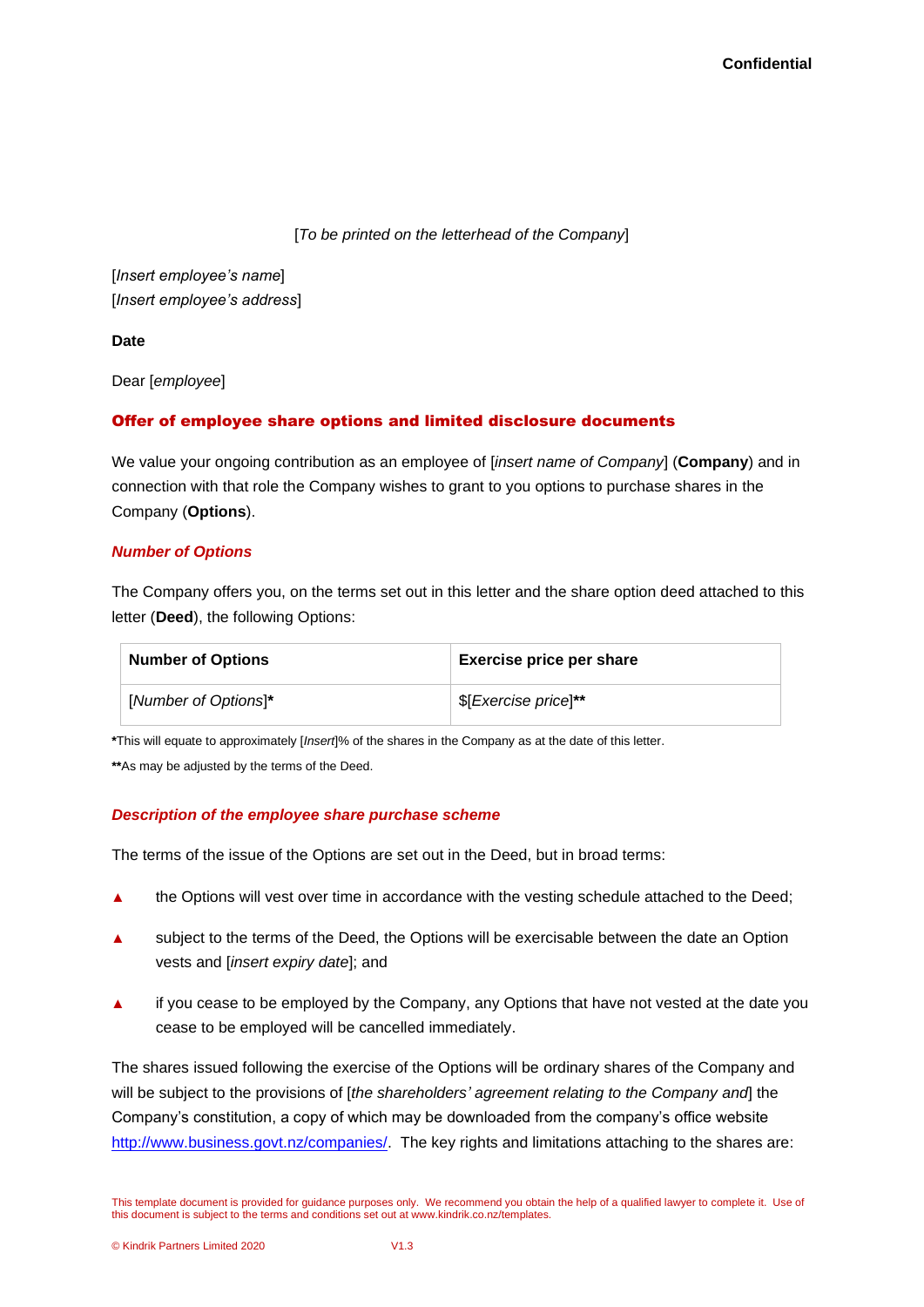[*To be printed on the letterhead of the Company*]

[*Insert employee's name*] [*Insert employee's address*]

**Date**

Dear [*employee*]

## Offer of employee share options and limited disclosure documents

We value your ongoing contribution as an employee of [*insert name of Company*] (**Company**) and in connection with that role the Company wishes to grant to you options to purchase shares in the Company (**Options**).

### *Number of Options*

The Company offers you, on the terms set out in this letter and the share option deed attached to this letter (**Deed**), the following Options:

| <b>Number of Options</b> | <b>Exercise price per share</b> |
|--------------------------|---------------------------------|
| [Number of Options]*     | \$[Exercise price]**            |

**\***This will equate to approximately [*Insert*]% of the shares in the Company as at the date of this letter.

**\*\***As may be adjusted by the terms of the Deed.

### *Description of the employee share purchase scheme*

The terms of the issue of the Options are set out in the Deed, but in broad terms:

- ▲ the Options will vest over time in accordance with the vesting schedule attached to the Deed;
- ▲ subject to the terms of the Deed, the Options will be exercisable between the date an Option vests and [*insert expiry date*]; and
- ▲ if you cease to be employed by the Company, any Options that have not vested at the date you cease to be employed will be cancelled immediately.

The shares issued following the exercise of the Options will be ordinary shares of the Company and will be subject to the provisions of [*the shareholders' agreement relating to the Company and*] the Company's constitution, a copy of which may be downloaded from the company's office website [http://www.business.govt.nz/companies/.](http://www.business.govt.nz/companies/) The key rights and limitations attaching to the shares are:

This template document is provided for guidance purposes only. We recommend you obtain the help of a qualified lawyer to complete it. Use of this document is subject to the terms and conditions set out at www.kindrik.co.nz/templates.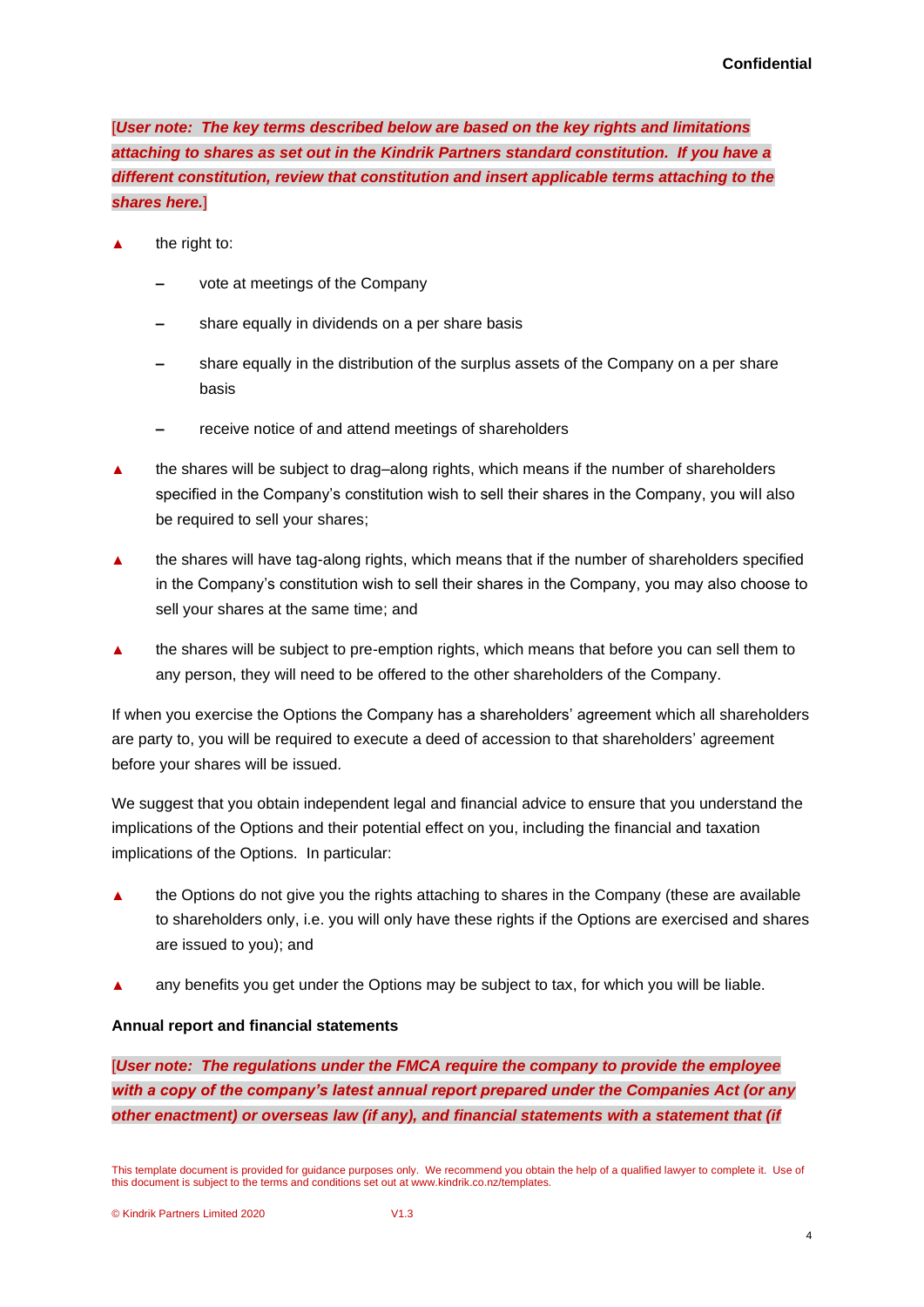[*User note: The key terms described below are based on the key rights and limitations attaching to shares as set out in the Kindrik Partners standard constitution. If you have a different constitution, review that constitution and insert applicable terms attaching to the shares here.*]

- the right to:
	- vote at meetings of the Company
	- share equally in dividends on a per share basis
	- **‒** share equally in the distribution of the surplus assets of the Company on a per share basis
	- **‒** receive notice of and attend meetings of shareholders
- ▲ the shares will be subject to drag–along rights, which means if the number of shareholders specified in the Company's constitution wish to sell their shares in the Company, you will also be required to sell your shares;
- ▲ the shares will have tag-along rights, which means that if the number of shareholders specified in the Company's constitution wish to sell their shares in the Company, you may also choose to sell your shares at the same time; and
- ▲ the shares will be subject to pre-emption rights, which means that before you can sell them to any person, they will need to be offered to the other shareholders of the Company.

If when you exercise the Options the Company has a shareholders' agreement which all shareholders are party to, you will be required to execute a deed of accession to that shareholders' agreement before your shares will be issued.

We suggest that you obtain independent legal and financial advice to ensure that you understand the implications of the Options and their potential effect on you, including the financial and taxation implications of the Options. In particular:

- ▲ the Options do not give you the rights attaching to shares in the Company (these are available to shareholders only, i.e. you will only have these rights if the Options are exercised and shares are issued to you); and
- ▲ any benefits you get under the Options may be subject to tax, for which you will be liable.

### **Annual report and financial statements**

[*User note: The regulations under the FMCA require the company to provide the employee with a copy of the company's latest annual report prepared under the Companies Act (or any other enactment) or overseas law (if any), and financial statements with a statement that (if* 

This template document is provided for guidance purposes only. We recommend you obtain the help of a qualified lawyer to complete it. Use of this document is subject to the terms and conditions set out at www.kindrik.co.nz/templates.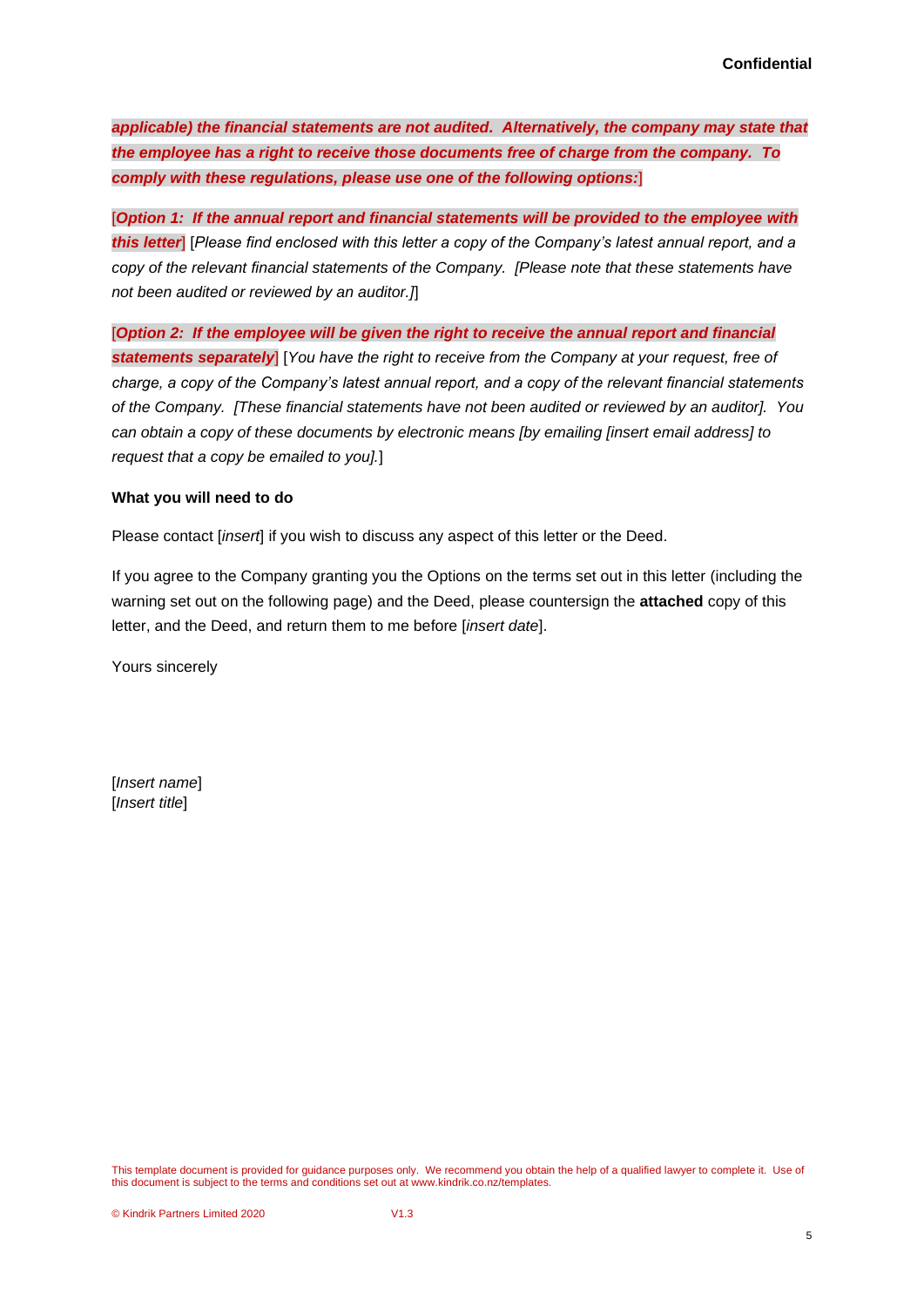*applicable) the financial statements are not audited. Alternatively, the company may state that the employee has a right to receive those documents free of charge from the company. To comply with these regulations, please use one of the following options:*]

[*Option 1: If the annual report and financial statements will be provided to the employee with this letter*] [*Please find enclosed with this letter a copy of the Company's latest annual report, and a copy of the relevant financial statements of the Company. [Please note that these statements have not been audited or reviewed by an auditor.]*]

[*Option 2: If the employee will be given the right to receive the annual report and financial statements separately*] [*You have the right to receive from the Company at your request, free of charge, a copy of the Company's latest annual report, and a copy of the relevant financial statements of the Company. [These financial statements have not been audited or reviewed by an auditor]. You can obtain a copy of these documents by electronic means [by emailing [insert email address] to request that a copy be emailed to you].*]

#### **What you will need to do**

Please contact [*insert*] if you wish to discuss any aspect of this letter or the Deed.

If you agree to the Company granting you the Options on the terms set out in this letter (including the warning set out on the following page) and the Deed, please countersign the **attached** copy of this letter, and the Deed, and return them to me before [*insert date*].

Yours sincerely

[*Insert name*] [*Insert title*]